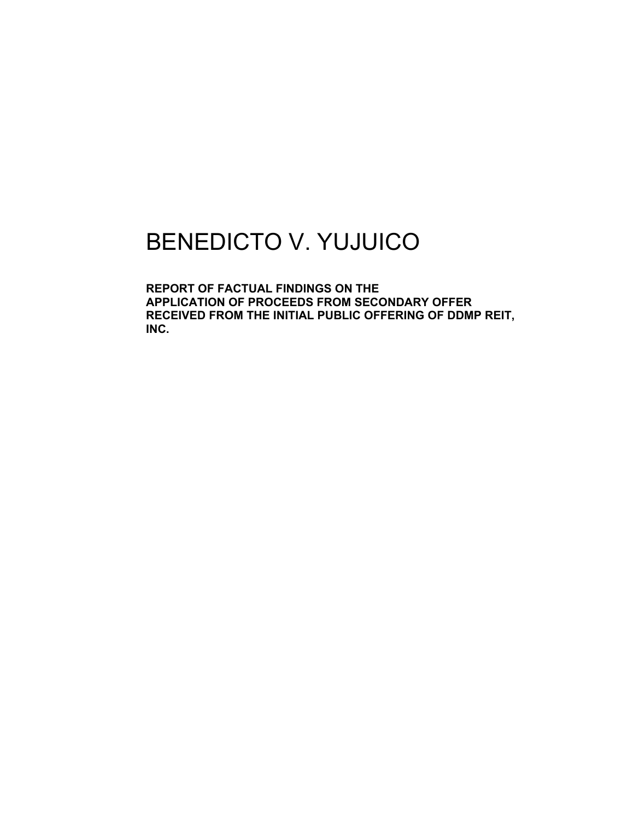## BENEDICTO V. YUJUICO

**REPORT OF FACTUAL FINDINGS ON THE APPLICATION OF PROCEEDS FROM SECONDARY OFFER RECEIVED FROM THE INITIAL PUBLIC OFFERING OF DDMP REIT, INC.**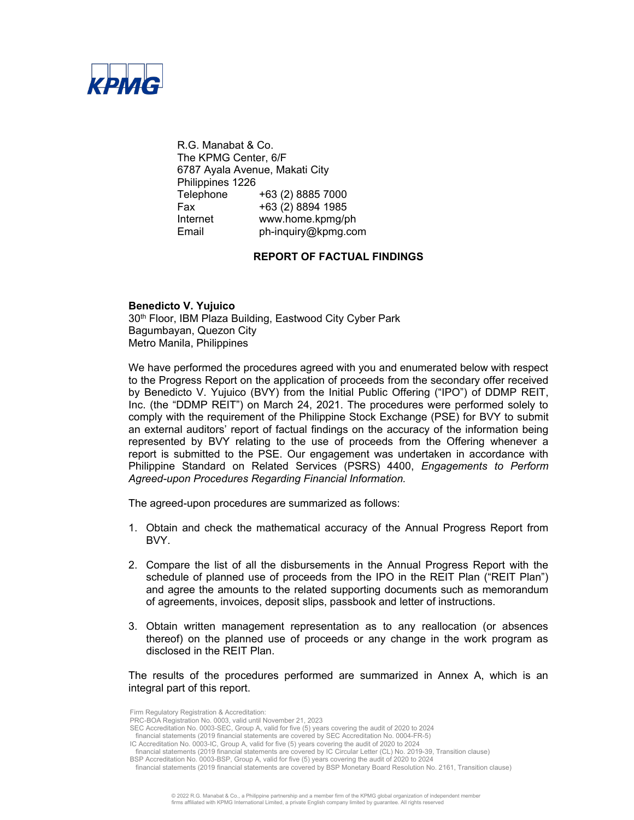

R.G. Manabat & Co. The KPMG Center, 6/F 6787 Ayala Avenue, Makati City Philippines 1226 Telephone +63 (2) 8885 7000 Fax +63 (2) 8894 1985 Internet www.home.kpmg/ph Email ph-inquiry@kpmg.com

## **REPORT OF FACTUAL FINDINGS**

**Benedicto V. Yujuico** 30<sup>th</sup> Floor, IBM Plaza Building, Eastwood City Cyber Park Bagumbayan, Quezon City Metro Manila, Philippines

We have performed the procedures agreed with you and enumerated below with respect to the Progress Report on the application of proceeds from the secondary offer received by Benedicto V. Yujuico (BVY) from the Initial Public Offering ("IPO") of DDMP REIT, Inc. (the "DDMP REIT") on March 24, 2021. The procedures were performed solely to comply with the requirement of the Philippine Stock Exchange (PSE) for BVY to submit an external auditors' report of factual findings on the accuracy of the information being represented by BVY relating to the use of proceeds from the Offering whenever a report is submitted to the PSE. Our engagement was undertaken in accordance with Philippine Standard on Related Services (PSRS) 4400, *Engagements to Perform Agreed-upon Procedures Regarding Financial Information.*

The agreed-upon procedures are summarized as follows:

- 1. Obtain and check the mathematical accuracy of the Annual Progress Report from BVY.
- 2. Compare the list of all the disbursements in the Annual Progress Report with the schedule of planned use of proceeds from the IPO in the REIT Plan ("REIT Plan") and agree the amounts to the related supporting documents such as memorandum of agreements, invoices, deposit slips, passbook and letter of instructions.
- 3. Obtain written management representation as to any reallocation (or absences thereof) on the planned use of proceeds or any change in the work program as disclosed in the REIT Plan.

The results of the procedures performed are summarized in Annex A, which is an integral part of this report.

Firm Regulatory Registration & Accreditation:

PRC-BOA Registration No. 0003, valid until November 21, 2023

SEC Accreditation No. 0003-SEC, Group A, valid for five (5) years covering the audit of 2020 to 2024 financial statements (2019 financial statements are covered by SEC Accreditation No. 0004-FR-5)

IC Accreditation No. 0003-IC, Group A, valid for five (5) years covering the audit of 2020 to 2024

financial statements (2019 financial statements are covered by IC Circular Letter (CL) No. 2019-39, Transition clause)

BSP Accreditation No. 0003-BSP, Group A, valid for five (5) years covering the audit of 2020 to 2024

financial statements (2019 financial statements are covered by BSP Monetary Board Resolution No. 2161, Transition clause)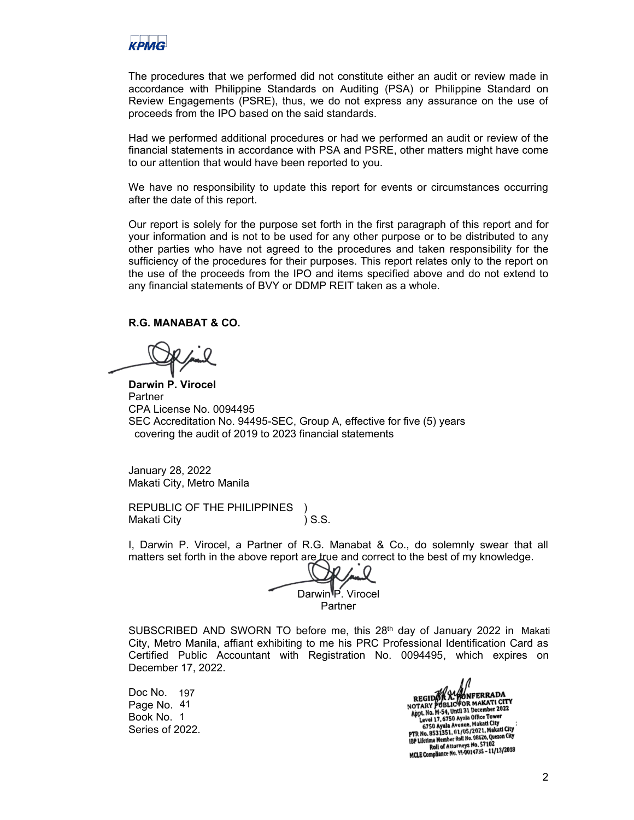

The procedures that we performed did not constitute either an audit or review made in accordance with Philippine Standards on Auditing (PSA) or Philippine Standard on Review Engagements (PSRE), thus, we do not express any assurance on the use of proceeds from the IPO based on the said standards.

Had we performed additional procedures or had we performed an audit or review of the financial statements in accordance with PSA and PSRE, other matters might have come to our attention that would have been reported to you.

We have no responsibility to update this report for events or circumstances occurring after the date of this report.

Our report is solely for the purpose set forth in the first paragraph of this report and for your information and is not to be used for any other purpose or to be distributed to any other parties who have not agreed to the procedures and taken responsibility for the sufficiency of the procedures for their purposes. This report relates only to the report on the use of the proceeds from the IPO and items specified above and do not extend to any financial statements of BVY or DDMP REIT taken as a whole.

## **R.G. MANABAT & CO.**

**Darwin P. Virocel**  Partner CPA License No. 0094495 SEC Accreditation No. 94495-SEC, Group A, effective for five (5) years covering the audit of 2019 to 2023 financial statements

January 28, 2022 Makati City, Metro Manila

REPUBLIC OF THE PHILIPPINES ) Makati City **Makati City Contract (2008)** S.S.

I, Darwin P. Virocel, a Partner of R.G. Manabat & Co., do solemnly swear that all matters set forth in the above report are true and correct to the best of my knowledge.

Darwin<sup>1</sup>P. Virocel Partner

SUBSCRIBED AND SWORN TO before me, this  $28<sup>th</sup>$  day of January 2022 in Makati City, Metro Manila, affiant exhibiting to me his PRC Professional Identification Card as Certified Public Accountant with Registration No. 0094495, which expires on December 17, 2022.

Doc No. 197 Page No. 41 Book No. 1 Series of 2022.

ALL MATER RADA<br>
REGIDE BALIC FOR MAKATI CITY<br>
Appl. No. M-54, Until 31 December 2022<br>
Level 17, 5750 Ayala Office Tower<br>
Level 17, 5750 Ayala Office Tower<br>
Makati City Level 17, 6750 Ayala Office Tower<br>6750 Ayala Avenue, Makati City<br>PTR No. 8531351, 01/05/2021, Makati City<br>PTR No. 8531351, 01:05/2021, Makati City IBP Lifetime Member Roll No. 08620, Quezun City<br>Roll of Attorneys No. 57102<br>MCLE Compliance No. 91-0014735 - 11/13/2018